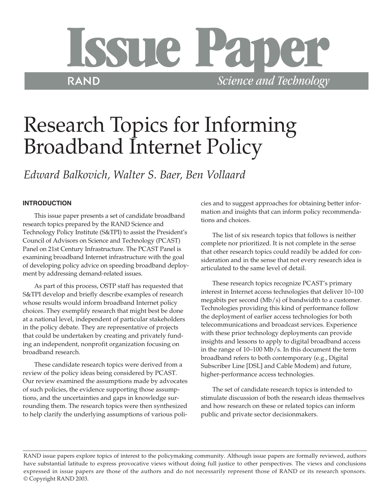

# Research Topics for Informing Broadband Internet Policy

*Edward Balkovich, Walter S. Baer, Ben Vollaard*

# **INTRODUCTION**

This issue paper presents a set of candidate broadband research topics prepared by the RAND Science and Technology Policy Institute (S&TPI) to assist the President's Council of Advisors on Science and Technology (PCAST) Panel on 21st Century Infrastructure. The PCAST Panel is examining broadband Internet infrastructure with the goal of developing policy advice on speeding broadband deployment by addressing demand-related issues.

As part of this process, OSTP staff has requested that S&TPI develop and briefly describe examples of research whose results would inform broadband Internet policy choices. They exemplify research that might best be done at a national level, independent of particular stakeholders in the policy debate. They are representative of projects that could be undertaken by creating and privately funding an independent, nonprofit organization focusing on broadband research.

These candidate research topics were derived from a review of the policy ideas being considered by PCAST. Our review examined the assumptions made by advocates of such policies, the evidence supporting those assumptions, and the uncertainties and gaps in knowledge surrounding them. The research topics were then synthesized to help clarify the underlying assumptions of various policies and to suggest approaches for obtaining better information and insights that can inform policy recommendations and choices.

The list of six research topics that follows is neither complete nor prioritized. It is not complete in the sense that other research topics could readily be added for consideration and in the sense that not every research idea is articulated to the same level of detail.

These research topics recognize PCAST's primary interest in Internet access technologies that deliver 10–100 megabits per second (Mb/s) of bandwidth to a customer. Technologies providing this kind of performance follow the deployment of earlier access technologies for both telecommunications and broadcast services. Experience with these prior technology deployments can provide insights and lessons to apply to digital broadband access in the range of 10–100 Mb/s. In this document the term broadband refers to both contemporary (e.g., Digital Subscriber Line [DSL] and Cable Modem) and future, higher-performance access technologies.

The set of candidate research topics is intended to stimulate discussion of both the research ideas themselves and how research on these or related topics can inform public and private sector decisionmakers.

RAND issue papers explore topics of interest to the policymaking community. Although issue papers are formally reviewed, authors have substantial latitude to express provocative views without doing full justice to other perspectives. The views and conclusions expressed in issue papers are those of the authors and do not necessarily represent those of RAND or its research sponsors. © Copyright RAND 2003.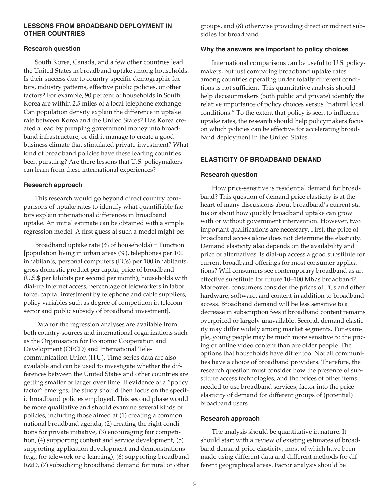## **LESSONS FROM BROADBAND DEPLOYMENT IN OTHER COUNTRIES**

## **Research question**

South Korea, Canada, and a few other countries lead the United States in broadband uptake among households. Is their success due to country-specific demographic factors, industry patterns, effective public policies, or other factors? For example, 90 percent of households in South Korea are within 2.5 miles of a local telephone exchange. Can population density explain the difference in uptake rate between Korea and the United States? Has Korea created a lead by pumping government money into broadband infrastructure, or did it manage to create a good business climate that stimulated private investment? What kind of broadband policies have these leading countries been pursuing? Are there lessons that U.S. policymakers can learn from these international experiences?

## **Research approach**

This research would go beyond direct country comparisons of uptake rates to identify what quantifiable factors explain international differences in broadband uptake. An initial estimate can be obtained with a simple regression model. A first guess at such a model might be:

Broadband uptake rate ( $\%$  of households) = Function [population living in urban areas (%), telephones per 100 inhabitants, personal computers (PCs) per 100 inhabitants, gross domestic product per capita, price of broadband (U.S.\$ per kilobits per second per month), households with dial-up Internet access, percentage of teleworkers in labor force, capital investment by telephone and cable suppliers, policy variables such as degree of competition in telecom sector and public subsidy of broadband investment].

Data for the regression analyses are available from both country sources and international organizations such as the Organisation for Economic Cooperation and Development (OECD) and International Telecommunication Union (ITU). Time-series data are also available and can be used to investigate whether the differences between the United States and other countries are getting smaller or larger over time. If evidence of a "policy factor" emerges, the study should then focus on the specific broadband policies employed. This second phase would be more qualitative and should examine several kinds of policies, including those aimed at (1) creating a common national broadband agenda, (2) creating the right conditions for private initiative, (3) encouraging fair competition, (4) supporting content and service development, (5) supporting application development and demonstrations (e.g., for telework or e-learning), (6) supporting broadband R&D, (7) subsidizing broadband demand for rural or other groups, and (8) otherwise providing direct or indirect subsidies for broadband.

## **Why the answers are important to policy choices**

International comparisons can be useful to U.S. policymakers, but just comparing broadband uptake rates among countries operating under totally different conditions is not sufficient. This quantitative analysis should help decisionmakers (both public and private) identify the relative importance of policy choices versus "natural local conditions." To the extent that policy is seen to influence uptake rates, the research should help policymakers focus on which policies can be effective for accelerating broadband deployment in the United States.

# **ELASTICITY OF BROADBAND DEMAND**

## **Research question**

How price-sensitive is residential demand for broadband? This question of demand price elasticity is at the heart of many discussions about broadband's current status or about how quickly broadband uptake can grow with or without government intervention. However, two important qualifications are necessary. First, the price of broadband access alone does not determine the elasticity. Demand elasticity also depends on the availability and price of alternatives. Is dial-up access a good substitute for current broadband offerings for most consumer applications? Will consumers see contemporary broadband as an effective substitute for future 10–100 Mb/s broadband? Moreover, consumers consider the prices of PCs and other hardware, software, and content in addition to broadband access. Broadband demand will be less sensitive to a decrease in subscription fees if broadband content remains overpriced or largely unavailable. Second, demand elasticity may differ widely among market segments. For example, young people may be much more sensitive to the pricing of online video content than are older people. The options that households have differ too: Not all communities have a choice of broadband providers. Therefore, the research question must consider how the presence of substitute access technologies, and the prices of other items needed to use broadband services, factor into the price elasticity of demand for different groups of (potential) broadband users.

# **Research approach**

The analysis should be quantitative in nature. It should start with a review of existing estimates of broadband demand price elasticity, most of which have been made using different data and different methods for different geographical areas. Factor analysis should be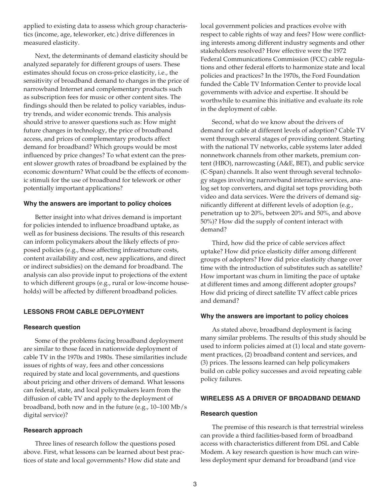applied to existing data to assess which group characteristics (income, age, teleworker, etc.) drive differences in measured elasticity.

Next, the determinants of demand elasticity should be analyzed separately for different groups of users. These estimates should focus on cross-price elasticity, i.e., the sensitivity of broadband demand to changes in the price of narrowband Internet and complementary products such as subscription fees for music or other content sites. The findings should then be related to policy variables, industry trends, and wider economic trends. This analysis should strive to answer questions such as: How might future changes in technology, the price of broadband access, and prices of complementary products affect demand for broadband? Which groups would be most influenced by price changes? To what extent can the present slower growth rates of broadband be explained by the economic downturn? What could be the effects of economic stimuli for the use of broadband for telework or other potentially important applications?

#### **Why the answers are important to policy choices**

Better insight into what drives demand is important for policies intended to influence broadband uptake, as well as for business decisions. The results of this research can inform policymakers about the likely effects of proposed policies (e.g., those affecting infrastructure costs, content availability and cost, new applications, and direct or indirect subsidies) on the demand for broadband. The analysis can also provide input to projections of the extent to which different groups (e.g., rural or low-income households) will be affected by different broadband policies.

# **LESSONS FROM CABLE DEPLOYMENT**

#### **Research question**

Some of the problems facing broadband deployment are similar to those faced in nationwide deployment of cable TV in the 1970s and 1980s. These similarities include issues of rights of way, fees and other concessions required by state and local governments, and questions about pricing and other drivers of demand. What lessons can federal, state, and local policymakers learn from the diffusion of cable TV and apply to the deployment of broadband, both now and in the future (e.g., 10–100 Mb/s digital service)?

## **Research approach**

Three lines of research follow the questions posed above. First, what lessons can be learned about best practices of state and local governments? How did state and

local government policies and practices evolve with respect to cable rights of way and fees? How were conflicting interests among different industry segments and other stakeholders resolved? How effective were the 1972 Federal Communications Commission (FCC) cable regulations and other federal efforts to harmonize state and local policies and practices? In the 1970s, the Ford Foundation funded the Cable TV Information Center to provide local governments with advice and expertise. It should be worthwhile to examine this initiative and evaluate its role in the deployment of cable.

Second, what do we know about the drivers of demand for cable at different levels of adoption? Cable TV went through several stages of providing content. Starting with the national TV networks, cable systems later added nonnetwork channels from other markets, premium content (HBO), narrowcasting (A&E, BET), and public service (C-Span) channels. It also went through several technology stages involving narrowband interactive services, analog set top converters, and digital set tops providing both video and data services. Were the drivers of demand significantly different at different levels of adoption (e.g., penetration up to 20%, between 20% and 50%, and above 50%)? How did the supply of content interact with demand?

Third, how did the price of cable services affect uptake? How did price elasticity differ among different groups of adopters? How did price elasticity change over time with the introduction of substitutes such as satellite? How important was churn in limiting the pace of uptake at different times and among different adopter groups? How did pricing of direct satellite TV affect cable prices and demand?

## **Why the answers are important to policy choices**

As stated above, broadband deployment is facing many similar problems. The results of this study should be used to inform policies aimed at (1) local and state government practices, (2) broadband content and services, and (3) prices. The lessons learned can help policymakers build on cable policy successes and avoid repeating cable policy failures.

## **WIRELESS AS A DRIVER OF BROADBAND DEMAND**

#### **Research question**

The premise of this research is that terrestrial wireless can provide a third facilities-based form of broadband access with characteristics different from DSL and Cable Modem. A key research question is how much can wireless deployment spur demand for broadband (and vice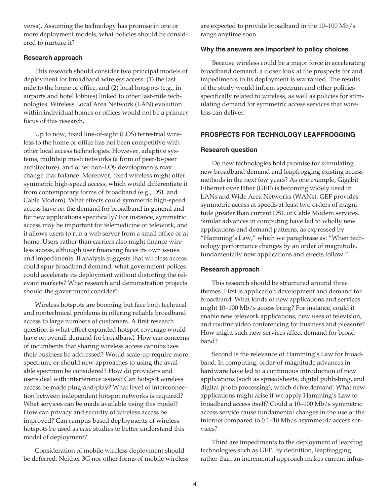versa). Assuming the technology has promise in one or more deployment models, what policies should be considered to nurture it?

## **Research approach**

This research should consider two principal models of deployment for broadband wireless access: (1) the last mile to the home or office, and (2) local hotspots (e.g., in airports and hotel lobbies) linked to other last-mile technologies. Wireless Local Area Network (LAN) evolution within individual homes or offices would not be a primary focus of this research.

Up to now, fixed line-of-sight (LOS) terrestrial wireless to the home or office has not been competitive with other local access technologies. However, adaptive systems, multihop mesh networks (a form of peer-to-peer architecture), and other non-LOS developments may change that balance. Moreover, fixed wireless might offer symmetric high-speed access, which would differentiate it from contemporary forms of broadband (e.g., DSL and Cable Modem). What effects could symmetric high-speed access have on the demand for broadband in general and for new applications specifically? For instance, symmetric access may be important for telemedicine or telework, and it allows users to run a web server from a small office or at home. Users rather than carriers also might finance wireless access, although user financing faces its own issues and impediments. If analysis suggests that wireless access could spur broadband demand, what government polices could accelerate its deployment without distorting the relevant markets? What research and demonstration projects should the government consider?

Wireless hotspots are booming but face both technical and nontechnical problems in offering reliable broadband access to large numbers of customers. A first research question is what effect expanded hotspot coverage would have on overall demand for broadband. How can concerns of incumbents that sharing wireless access cannibalizes their business be addressed? Would scale-up require more spectrum, or should new approaches to using the available spectrum be considered? How do providers and users deal with interference issues? Can hotspot wireless access be made plug-and-play? What level of interconnection between independent hotspot networks is required? What services can be made available using this model? How can privacy and security of wireless access be improved? Can campus-based deployments of wireless hotspots be used as case studies to better understand this model of deployment?

Consideration of mobile wireless deployment should be deferred. Neither 3G nor other forms of mobile wireless are expected to provide broadband in the 10–100 Mb/s range anytime soon.

## **Why the answers are important to policy choices**

Because wireless could be a major force in accelerating broadband demand, a closer look at the prospects for and impediments to its deployment is warranted. The results of the study would inform spectrum and other policies specifically related to wireless, as well as policies for stimulating demand for symmetric access services that wireless can deliver.

# **PROSPECTS FOR TECHNOLOGY LEAPFROGGING**

## **Research question**

Do new technologies hold promise for stimulating new broadband demand and leapfrogging existing access methods in the next few years? As one example, Gigabit Ethernet over Fiber (GEF) is becoming widely used in LANs and Wide Area Networks (WANs). GEF provides symmetric access at speeds at least two orders of magnitude greater than current DSL or Cable Modem services. Similar advances in computing have led to wholly new applications and demand patterns, as expressed by "Hamming's Law," which we paraphrase as: "When technology performance changes by an order of magnitude, fundamentally new applications and effects follow."

# **Research approach**

This research should be structured around three themes. First is application development and demand for broadband. What kinds of new applications and services might 10–100 Mb/s access bring? For instance, could it enable new telework applications, new uses of television, and routine video conferencing for business and pleasure? How might such new services affect demand for broadband?

Second is the relevance of Hamming's Law for broadband. In computing, order-of-magnitude advances in hardware have led to a continuous introduction of new applications (such as spreadsheets, digital publishing, and digital photo processing), which drive demand. What new applications might arise if we apply Hamming's Law to broadband access itself? Could a 10–100 Mb/s symmetric access service cause fundamental changes in the use of the Internet compared to 0.1–10 Mb/s asymmetric access services?

Third are impediments to the deployment of leapfrog technologies such as GEF. By definition, leapfrogging rather than an incremental approach makes current infras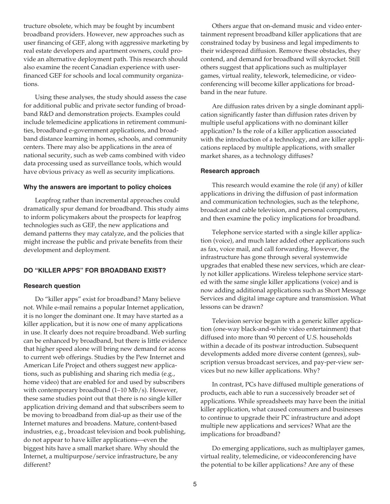tructure obsolete, which may be fought by incumbent broadband providers. However, new approaches such as user financing of GEF, along with aggressive marketing by real estate developers and apartment owners, could provide an alternative deployment path. This research should also examine the recent Canadian experience with userfinanced GEF for schools and local community organizations.

Using these analyses, the study should assess the case for additional public and private sector funding of broadband R&D and demonstration projects. Examples could include telemedicine applications in retirement communities, broadband e-government applications, and broadband distance learning in homes, schools, and community centers. There may also be applications in the area of national security, such as web cams combined with video data processing used as surveillance tools, which would have obvious privacy as well as security implications.

#### **Why the answers are important to policy choices**

Leapfrog rather than incremental approaches could dramatically spur demand for broadband. This study aims to inform policymakers about the prospects for leapfrog technologies such as GEF, the new applications and demand patterns they may catalyze, and the policies that might increase the public and private benefits from their development and deployment.

## **DO "KILLER APPS" FOR BROADBAND EXIST?**

#### **Research question**

Do "killer apps" exist for broadband? Many believe not. While e-mail remains a popular Internet application, it is no longer the dominant one. It may have started as a killer application, but it is now one of many applications in use. It clearly does not require broadband. Web surfing can be enhanced by broadband, but there is little evidence that higher speed alone will bring new demand for access to current web offerings. Studies by the Pew Internet and American Life Project and others suggest new applications, such as publishing and sharing rich media (e.g., home video) that are enabled for and used by subscribers with contemporary broadband (1–10 Mb/s). However, these same studies point out that there is no single killer application driving demand and that subscribers seem to be moving to broadband from dial-up as their use of the Internet matures and broadens. Mature, content-based industries, e.g., broadcast television and book publishing, do not appear to have killer applications—even the biggest hits have a small market share. Why should the Internet, a multipurpose/service infrastructure, be any different?

Others argue that on-demand music and video entertainment represent broadband killer applications that are constrained today by business and legal impediments to their widespread diffusion. Remove these obstacles, they contend, and demand for broadband will skyrocket. Still others suggest that applications such as multiplayer games, virtual reality, telework, telemedicine, or videoconferencing will become killer applications for broadband in the near future.

Are diffusion rates driven by a single dominant application significantly faster than diffusion rates driven by multiple useful applications with no dominant killer application? Is the role of a killer application associated with the introduction of a technology, and are killer applications replaced by multiple applications, with smaller market shares, as a technology diffuses?

#### **Research approach**

This research would examine the role (if any) of killer applications in driving the diffusion of past information and communication technologies, such as the telephone, broadcast and cable television, and personal computers, and then examine the policy implications for broadband.

Telephone service started with a single killer application (voice), and much later added other applications such as fax, voice mail, and call forwarding. However, the infrastructure has gone through several systemwide upgrades that enabled these new services, which are clearly not killer applications. Wireless telephone service started with the same single killer applications (voice) and is now adding additional applications such as Short Message Services and digital image capture and transmission. What lessons can be drawn?

Television service began with a generic killer application (one-way black-and-white video entertainment) that diffused into more than 90 percent of U.S. households within a decade of its postwar introduction. Subsequent developments added more diverse content (genres), subscription versus broadcast services, and pay-per-view services but no new killer applications. Why?

In contrast, PCs have diffused multiple generations of products, each able to run a successively broader set of applications. While spreadsheets may have been the initial killer application, what caused consumers and businesses to continue to upgrade their PC infrastructure and adopt multiple new applications and services? What are the implications for broadband?

Do emerging applications, such as multiplayer games, virtual reality, telemedicine, or videoconferencing have the potential to be killer applications? Are any of these